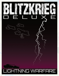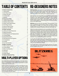# TABLE OF CONTENTS

| <b>1.0 Game Components</b>          | 3              |
|-------------------------------------|----------------|
| 1.1 Game Board                      | 3              |
| 1.2 Unit Setup Charts               | 3              |
| 1.3 Player Aid Card                 | 3              |
| 1.4 Combat Units                    | 3              |
| 1.5 Markers                         | 4              |
| 2.0 Sequence of Play                | 4              |
| 2.1 Initiative Determination        | 4              |
| 2.2 Weather Determination           | 4              |
| 2.3 Player Order Determination      | 4              |
| 2.4 First Player Activity           | 4              |
| 2.5 Second Player Activity          | 5              |
| 2.6 Advance Turn Marker             | 5              |
| <b>3.0 Player Activities</b>        | 5              |
| 3.1 Cities and Critical Resources   | 5              |
| 3.2 Naval Ascendancy                | 6              |
| 3.3 Reinforcements and Replacements | $\overline{7}$ |
| 3.4 Combat Supply                   | $\overline{7}$ |
| 3.5 Ground Movement                 | $\overline{7}$ |
| 3.6 Sea Movement and Invasions      | 9              |
| 3.7 Air Operations                  | 9              |
| 3.8 Combat                          | 10             |
| 3.9 Turn End Activities             | 14             |
| <b>4.0 Minor Countries</b>          | 15             |
| 4.1 Minor Country Control           | 15             |
| 4.2 Control Effects                 | 15             |
| 4.3 Minor City Reduction            | 15             |
| 4.4 Garrisons                       | 15             |
| 4.5 Guerrillas                      | 15             |
| 4.6 Supply Effects                  | 15             |
| 5.0 Optional Extended Play          | 15             |
|                                     |                |

# MULTI-PLAYER OPTIONS

Even though Blitzkrieg Deluxe was designed as a two-player games, there is enough going on to allow multiple players per game. In fact, there is so much going on, that it might be a good idea to consider multiple players from the outset.

Divide the players into two teams. If there are two players per side, either divide units up geographically or have one player manage the ground forces, while the other player manages the land and sea-base units. If there are three players per side, one player should be the over-all commander responsible for the placement of reinforcements and replacements as well as air units. Divvy the other units up between the other players.

# RE-DESIGNERS NOTES

*Blitzkrieg Deluxe* is the result of no small measure of insanity on my part. It grew first from a desire to practice the map making skills employed in other game design projects, which then extended to the counters, the play-aid cards, and then  $-$  of course  $-$  the rules you hold in your hands. In for a penny, in for a pound, as they say.

Given that this is not a new design, I am compelled (as should anyone who does this sort of thing) to acknowledge *The Avalon Hill Game Company* as the original publisher of the game and its designer Lawrence Pinsky and re-designer David Roberts. I should also note Wendell Martin, Richard Wein, and Richard Hamblen, who had a hand in putting together a substantial quantity of errata and clarifications for the original design.

*Blitzkrieg* was one of the first war games I ever purchased. At the time, its complexity rating was about as high as it could be. However, when looked at through a  $21<sup>st</sup>$  Century lens, the rules are pretty straight-froward, even thought there is quite a bit to keep track of. I'm hoping that the new game components will ease that burden a bit.

Rather than simply rewriting the rules to consolidate all of the "basic, optional, and tournament" rules into a coherent whole, I took the opportunity to incorporate many of the errata and clarifications noted over the years. However, players familiar with the original rules will note that I've contradicted some of these clarifications for the sake of game play. For instance, the suggestion that resolved events be retroactively restored due to the affects of air combat activities just does not work. The game system needs to account for these events smoothly. I've also modified the attrition results table.

I've also taken the opportunity to add some additional mechanics to add a little more chaos to the system, including player initiative, random game-end, and combat straining. So, it's important that those familiar with the original design take the time to read through this rules set to see what's been changed.

Even though players are able to play the game with the new components and the old rules set without trouble, they are encouraged to give this updated rules set a try.

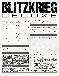<span id="page-2-0"></span>

*Blitzkrieg* was published by *The Avalon Hill Game Company* in 1968. At the time it was considered a "monster" game with two large maps, and hundreds of game pieces. The game also garnered a "10" complexity level as compared to other games in *Avalon Hill's* catalog. Other than it's perceived complexity, what made *Blitzkrieg* different was its generic nature. Rather than pitting the Germans against ... well, anyone ... in a historical World War 2 setting (as one might expect from the game's very name), **Blitzkrieg** uses a generic setting that pits "Big Red" against "Great Blue," as one might expect from a more formal *Rand* think-tank activity. By removing historical actors and locations from the game, players can focus more on how strategy works in a broader context.

The goal of *Blitzkrieg Deluxe* is to update the original design both graphically and in game play. The original game was broken into two versions, the Basic Game and the Tournament Game. By today's standards, even the Tournament Game is only moderately complex. There are quite a few moving parts, but the game mechanics are easily graspable through a fairly static sequence of play. These rules are organized in a manner that follows the sequence of play, and even those players who have been around long enough to have committed the original's game system to memory are encouraged to read through the rules for the slight tweaks that have been made.

#### *Blitz on!*

#### **1.0 Game Components**

The following provides a description of the game's components. As the game is currently offered as "print-and-play," the components must be printed, mounted, and cut-out as needed in order to play the game.

#### **1.1 Game Board**

The game board is a 34" by 55" map depicting the terrain over which the players will battle. The map is overlaid with a grid of hexagons that are used to regulate the movement of game pieces (or combat units) on the map as described by the movement rules. The map is decorated with different types of terrain that affect movement such as cities, woods, mountains, desert, beaches, and rivers in addition to open sea that surrounds much of the battle area. National boundaries for the fictitious nations are depicted by dashed lines, most of which are black, while the blue and red lines indicate the borders of the two player-nations, Great Blue and Big Red, respectively.

#### **1.2 Unit Setup Charts**

Each player receives two unit setup charts. These charts indicate which units (game pieces) start the game on the map, and on which turns reinforcements arrive. Each set of charts should be placed within easy reach of the appropriate player.

When initially setting up the game, those units that are noted as beginning on the map are placed by each player as desired within the borders of their home country. These units may be held back and placed onto the map during future turns as reinforcements.

#### **1.3 Player Aid Card**

At least one of these cards should be made available to the players. The Player Aid Card includes all of the tables that must be referenced during play, along with instructions on their use. The tables on this card are also printed along the edges of the map, but without the extra verbiage. Once a few game turns have been played through, the need to refer to this card should decrease and the tables on the map should be sufficient.

#### **1.4 Combat Units**

Combat units are represented by square markers printed with the details of a military formation in a color belonging to one side or the other (blue or red). These are the "chess pieces" used to move across the map, engage in combat, and conquer locations in an effort to achieve final victory. Players are limited to the combat units included in the game. Each combat unit shares several basic factors:

- 1.4.1 **Type** The NATO symbol at the center of each combat unit indicates its type.
- 1.4.2 **Size** The characters above the type symbol indicate the size of the unit (division or wing, brigade, battalion or squadron).
- 1.4.3 **Organiza�on** This code represents the higher level echelon (typically a corps) to which the unit belongs. If this code is an "S" the unit is a supplemental unit used to indicate a loss of strength following combat.
- 1.4.4 **Identification** This code identifies the unit's name within its organization.
- 1.4.5 **Movement Factor** This code indicates the pool of points a unit receives when activated that are used to pay for movement across the map. As a unit moves from hex to hex, these points are spent. Once a unit has exhausted its pool of points, it must stop moving.
- 1.4.6 **Combat Factor** This code indicates the strength of a unit when engaged in combat. Most units have only a single value that is used whether the unit is attacking or defending. Artillery units, however, have two separate values. The first is used when an artillery unit is bombarding, while the second is used when engaged in attrition combat.
- 1.4.7 **Appearance** Roughly half of each army's units includes a number or letter in the upper right corner. This letter or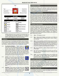<span id="page-3-0"></span>

number indicates the turn on which the unit enters play. An "O" means that the unit begins the game "On" the map. A number indicates that the unit enters the map as a reinforcement on that numbered turn (even the first turn).

#### **1.5 Markers**

There are three types of non-combat unit markers used in the game. In most respects, there is no limit to the number of markers included in the game. If more of these units are required than are included with the game, additional markers can be mocked up as needed.

- 1.5.1 **Turn/Weather/Initiative These markers do** triple-duty in both indicating the current turn on the turn track on the map, noting the state of the **CLEAR** weather during that turn, and which side currently holds the initiative for that turn. To this end, each player receives a set of six turn markers where each specifies a weather state. The player who wins the initiative at the start of a turn should place their marker with the correct weather state into the current turn box on the turn track, replacing the one located in that box if necessary.
- 
- 1.5.2 **Control** These markers are noted with flag symbols and are used to indicate who controls city hexes within a neutral country. When a player invades a neutral country, the opposing player



places a control marker of their color in each city hex within that country. When an invading player reduces an enemycontrolled city, the control flag is replaced by the control marker of the invading side. This exchange may reoccur as a city changes hands several times during the course of the game.

1.5.3 **Reduc�on** – These markers are noted with a lined circle or cancellation symbol. When an industrial center, port or city road hex is reduced, these markers are used to note that these hexes cannot be used for production purposes on that turn.



#### **2.0 Sequence of Play**

Each game turn follows a strict sequence of steps. These steps must be followed and completed in the order noted. Some steps may be skipped if they do not apply at the time the step occurs, but steps may not be completed out of the order indicated.

#### **2.1 Initiative Determination**

Both players roll a die, with the high roller taking the initiative. In case of ties, the player that held the initiative on the previous turn (or the Blue player on the first turn), retains the initiative. The die roll is modified by a couple of factors. The player that controls more non-reduced cities adds one to the die result. The player that controls more unreduced critical resource hexes adds one to the die result. The player that has naval ascendancy adds one to the result. These modifiers are cumulative (so a player with all three would add  $+3$  to the die roll).

#### **2.2 Weather Determination**

The player holding the initiative rolls a die and cross-references the result on the with the current turn on the Weather Chart. Note that weather is always "clear" until the eighth turn, so no die roll is required until that turn. If necessary, the player holding the initiative replaces the turn marker with one matching his or her nation's color that shows the appropriate weather condition. The numbers in parenthesis indicate turns beyond twenty if players opt to extend the game. Results are as follows:

- 2.2.1 **Clear** All conditions normal.
- 2.2.2 **Rain** Attack factor of fighter and bomber units halved; all off-the-road movement is halved except in desert, where it does not rain.
- 2.2.3 **Gale** No air operations; all off-the-road movement halved including armored movement in the desert where there are dust storms; movement on the road itself is at basic MF, no triple bonus on the road; all units at sea must land in a friendly port that turn if possible, or be eliminated; no invasions and no supply by sea through ports or beaches.
- 2.2.4 **Fog** No air operations; infantry attack at double their normal strength.
- 2.2.5 **Ice** No air operations; all units on mountains may not move that turn, they are eliminated if forced to retreat; no road movement bonus.
- 2.2.6 Snow Air units attack strength halved; rivers are frozen and don't double; no road or desert bonus; all off-the-road movement halved; units on mountains may leave, but no ground units may move onto mountains.

#### **2.3 Player Order Determination**

The player holding the initiative decides if their forces will be activated first or second during the turn. Although it may seem obvious that a side would want to go first, it may be preferable to react to what the enemy is doing, rather than letting the enemy react. The player determined to go first during a turn is the "First Player" while the other is the "Second Player."

#### **2.4 First Player Activity**

The First Player now performs combat unit activities, with the enemy occasionally interrupting as able.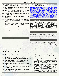- <span id="page-4-0"></span>2.4.1 **Critical Resources** – The First Player checks the impact of lost or reduced critical resource cities.
- 2.4.2 **Naval Ascendency** The First Player checks the impact of naval ascendency.
- 2.4.3 **Reinforcements** The First Player places reinforcements and replacements. Unit recombination occurs as this time.
- 2.4.4 **Ground Movement** The First Player moves ground units as desired and able.
- 2.4.5 **Air Movement** The First Player moves air units as desired and able.
- 2.4.6 **Air Interception** The Second Player moves intercepting fighters as desired and able and completes interception attacks.
- 2.4.7 **Bombing and Strafing** The First Player completes bombing and and both players complete strafing missions.
- 2.4.8 **Ground Combat** The First Player completes all ground combat.
- 2.4.9 **Overrun Movement** The First player completes overrun movement, if any.
- 2.4.10 **Guerrilla Combat** The First Player sustains losses due to guerrilla combat, if applicable.
- 2.4.11 **Industrial Recovery** The First Player removes reduction markers from friendly cities.

#### **2.5 Second Player Activity**

The Second Player now performs combat unit activities, with the enemy occasionally interrupting as able.

- 2.5.1 **Cri�cal Resources** The Second Player checks the impact of lost or reduced critical resource cities.
- 2.5.2 **Naval Ascendency** The Second Player checks the impact of naval ascendency.
- 2.5.3 **Reinforcements** The Second Player places reinforcements and replacements. Unit recombination occurs at this time.
- 2.5.4 **Ground Movement** The Second Player moves ground units as desired and able.
- 2.5.5 **Air Movement** The Second Player moves air units as desired and able.
- 2.5.6 **Air Interception** The First Player moves intercepting fighters as desired and able and complete interception attacks.
- 2.5.7 **Bombing and Strafing** The Second Player completes bombing and both players complete strafing missions.
- 2.5.8 **Ground Combat** The Second Player completes all ground combat.
- 2.5.9 **Overrun Movement** The Second Player completes overrun movement, if any.
- 2.5.10 **Guerrilla Combat** The Second Player sustains losses due to guerrilla combat, if applicable.

2.5.11 **Industrial Recovery** – The Second player removes reduction markers from friendly cities.

*Clarification: The turn sequence seems fairly complex, but it's actually quite straight-forward. Essen�ally, each player checks the status of their supply and resources as affected by control of sea zones. A player then places any reinforcements or replacements received during the turn. Next, a player moves ground forces, followed by air units.* The opposing player moves intercepting air units and resolves attacks *against enemy air units. Any surviving air units complete bombing* and strafing attacks. Surviving ground units completes ground com*bat. Next, any units not involved in combat that are next to overrun enemy units may advance. Any units eliminated due to guerrilla ac- �ons are removed and then reduced city markers are removed.*

#### **2.6 Advance Turn Marker**

The player holding the initiative rolls a die. If the roll is equal to or less than the number indicated in the box on the turn track occupied by the turn marker, the game ends immediately and victory determined. Otherwise, the player holding the initiative advances the turn marker to the next box on the turn track. If the players are using the extended play option, no game end die roll is made. Instead, the marker is simply advanced to the next box on the turn track. At the end of the twentieth turn, move the turn marker back to the first box on the turn track and continue play normally.

#### **3.0 Player Activities**

During each turn, both players must follow a series of steps in order to complete their part of the turn sequence. The First Player does this first, followed by the Second Player. A step may only be skipped if it cannot otherwise be completed. The following rules sections break down each step in this sequence.

#### **3.1 Cities and Critical Resources**

On the map, city hexes are indicated as being resource centers through the printing of a small round icon overlaying at least one hex of a multi-hex city. With regards to multi-hex cities, the icon applies to all of the hexes within that city, not just the one that the badge touches. There are three types of critical resource hexes: Petrochemical (an oil derrick icon), Basic Industry (a factory icon), and Naval Stores (a cargo crane icon).

- 3.1.1 **Critical Resource Control** The icon for each resource city indicates who controls it. Red icons are controlled by the red player, while blue icons are controlled by the blue player. Even if a player captures an opponent's resource city, he or she does not control the resource, but simply makes it unavailable to the owner. Neutral, white icon cities, however may be controlled and used by the side that controls them at the beginning of a player's turn.
- 3.1.2 **Resource Denial** A friendly city's resources, including their use as airbases and ports, are unavailable if a city is occupied by or adjacent to an enemy unit. A Neutral city's resources are available as long as they are occupied by a friendly unit and not adjacent to an enemy unit.
- 3.1.3 **Overreaching** If, following the status determination of critical resource control, there are too many units in play than allowed, those excess units must be moved in such a way that the control limits are complied with by the end of the turn. Otherwise, they are eliminated from play.
- 3.1.4 **Petrochemical** These city hexes represent oil and fuel refinement capacity. The effects of control are as follows: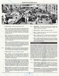<span id="page-5-0"></span>

- **Three or more** a player may operate normally.
- **Two** a player may only fly (including active patrols) forty factors of air missions that player-turn, including air transport and rebasing. All armor units lose two movement factors and may not use strategic movement or advance after combat. No more than five air and ground units combined may be left at sea.
- One a player may fly (including active patrols) no more than twenty factors of air missions. Armor, air assault, and artillery units may only move one hex and no units may use strategic movement or advance after combat. No more than five units at sea and these may only be in sea zones that include a friendly port.
- **None** a player may fly (including active patrols) no more than eight factors of air missions, twelve factors of infantry retain normal movement, there is no strategic movement or advance after combat, and all other units are limited to one hex movement. No units are allowed at sea.
- 3.1.5 **Basic Industry** These cities represent centers of production for industrial products necessary to the war effort (ball bearings, electricity, etc.). The effects of control are as follows:
	- **Three or more** a player may operate normally.
	- **Two** a player's air units bomb and attack at half-strength, all attacks above 4-1 on the Attrition Table are rolled at 4-1 instead, and artillery may not attack on the Barrage and Bombardment Table. Sea zones of friendly superiority are considered contested instead.
	- **One** a player may not attack with air units, except for fighters that attack at half-strength. Fighters may not contribute to naval ascendancy point calculations. Only three attacks greater than 1-1 on the Attrition Table may be resolved, and these may not be above 4-1. Artillery cannot attack using the Barrage and Bombardment Table. Sea zones of friendly superiority or contested are considered uncontrolled instead.
	- None a player may not perform any air combat, all attacks greater than 1-1 are treated as 1-1 on the Attrition Table, no artillery may attack using the Barrage and Bombardment Table. All sea zones are considered uncontested or of enemy superiority.
- 3.1.6 **Naval Stores** These cities represent naval command and control centers as well as naval production centers. The effects of control are as follows:
	- **Three or more** a player may operate normally.
	- **Two** a player may have no more than five air and/or ground units (total, ten) at sea.
	- **One** a player may have no more than five units at sea and may only operate in sea zones that include a friendly port.
	- **Zero** a player may not have any units at sea. Any units at sea must land. If a player's Naval Stores capacity is reduced to zero, it remains at zero for the rest of the game (his or her navy has been destroyed).

#### **3.2 Naval Ascendancy**

Naval ascendancy represents the ability of a side to control the sea lanes and thereby transport ground and air forces by sea. During this phase of a player's activation, each player checks their side's level of ascendancy in each sea zone. A player earns one naval point per attack factor at sea in a zone, one point for each available, non-reduced friendly port within that zone, and a point for each factor of combat ready tactical, medium, or fighter combat factors in ports within that zone. Each player also receives naval points equal to the remaining number of factors with which the player invaded within that sea zone during the previous player turn. The attack factors used to calculate naval points that are not at sea are subject to the effects of weather, critical resources and supply. Players compare their total naval points within each zone to determine their level of naval ascendancy within that zone. There are four levels naval ascendancy:

- 3.2.1 **Naval Superiority** A player has at least ten naval points and at least twice as many points has the enemy within the zone.
- 3.2.1.1 **Enemy Control** a player may not move to sea from ports, invade, or trace supply through the zone. Units that begin the turn within the zone are not supplied and may land in a friendly port within the zone. Additional units may be moved into the zone from adjacent sea zones.
- 3.2.1.2 **Friendly Control** invading units are doubled when attacking from full sea hexes, and if still on sea hexes after combat may automa�cally push adjacent defenders on beach hexes back one hex and occupy the vacated beach hex.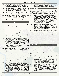- <span id="page-6-0"></span>3.2.2 **Contested** – A player has at least ten naval points, but neither player has twice as many points as the other player. Both players may operate normally within a contested zone.
- 3.2.3 **Uncontrolled** Both sides have between one and nine naval points in the zone. Neither player may invade from an uncontrolled sea zone, but otherwise operate normally.
- 3.2.4 **Uncontested** One player has no naval points while the other player has nine or fewer points.
- 3.2.4.1 **Zero points** a player that has no points within a sea zone may not supply or invade with units moving in from other sea zones, but may otherwise operate normally.
- 3.2.4.2 **Any points** a player that has one or more points in an uncontested zone may operate normally.

#### **3.3 Reinforcements and Replacements**

Each turn, a player may receive scheduled reinforcements as organized on the setup cards or as replacement points that can be used to purchase units from the supply of supplemental units to rebuild reduced units or create new ones.

- 3.3.1 **Reinforcements** Reinforcements are units scheduled to arrive during a certain turn, as stipulated by each army's setup cards as well as the number located in the upper right corner of a reinforcing unit. The noted turn of arrival is not a requirement, as reinforcements may be held and placed on the map on a later turn, if desired. Reinforcements are placed in any friendly city within an army's home country, and may temporarily exceed stacking limitations (as stacking is enforced at the end of the movement process).
- 3.3.2 **Replacements** Beginning with the fifth turn, both countries receive six counters from the collection of substitute units. Any substitute units that are not selected at this time are lost (so use them or lose them). These units are placed on the map in the same fashion as reinforcements. The replacement units that can be selected are limited as follows:
- 3.3.2.1 **Unique** Only one unit of a specific type may be chosen (one infantry, one armor, one SAC, etc.).
- 3.3.2.2 **Ground Units** Up to three of the units selected must be ground (non-aircra�) units and of these, one must be an infantry unit. Only one elite unit (airborne, air-assault, or ranger) may be selected.
- 3.3.2.3 **Air Units** Up to three of the units selected must be air units (SAC, MDM, TAC, and FTR). If, owing to substitute unit availability, only an odd number of units can be taken, the odd unit must be an air unit. For example, if only five units can be taken overall, three would be air units. Substitute air units may only be placed in cities marked with a friendly propeller icon. A player may also opt to increase their air-transport capacity by a half-point not building one of its substitute air units during the current turn.
- 3.3.3 **Reconstitution** Eliminated starting and reinforcing units cannot be used as replacements. However, a starting or reinforcing unit may be reconstituted after replacements have been placed with units of the same type. For example, a 6-6 armor unit that lost four steps could be rebuilt by replacing three two-point replacement armor units with the original combat unit. The replacement units are then returned to the replacement pool for use in later turns. Units may be reconstituted in any in-supply hex that is not adjacent to an enemy units (including sea zones).

3.3.4 **Break-down** – Any unit may be broken down into its constituent substitute units at any time within any hex that is not adjacent to an enemy unit (including sea zones).

#### **3.4 Combat Supply**

All units must trace a line of supply at the beginning of each player turn to a friendly home country city or suffer negative effects. Supply is determined for both attacking and defending units before any movement or combat takes place during the current player turn.

- 3.4.1 **Road Supply** A supply line is a path of connected hexes that is no more than ten hexes in length that leads from a combat unit's hex to a road hex which, in turn, leads back to a friendly home country city or a city that is connected through sea or air supply to a friendly home country city. The hexes in a supply line may not be within an enemy ZOC, and may not be within a neutral or unfriendly country. Road supply may supply any number of friendly units.
- 3.4.2 **Air Supply** Air transport capacity may be used to supply up to four non-armor or non-artillery units. Units supplied in this fashion may trace road supply to a friendly city, and then forty hexes to another friendly city, and then through road supply again to a friendly home country city.
- 3.4.3 **Sea Supply** A supply route may be drawn from any friendly home port, out to sea any distance to another friendly port or to a friendly beach hex invaded by friendly forces the previous turn. Drawing supply from a beach hex is limited to ten hexes for ten units maximum. A road net leading to and from a friendly port is handled as road supply, normally.
- 3.4.4 **Out-of-Supply Effects** Each unit that is unable to trace a supply route at the beginning of its player-turn has its basic movement factor halved, its attack factor halved (rounding up), and may not use strategic movement or advance after combat in that player-turn. Non-supplied units always defend at full strength. Units are never eliminated for lack of combat supply.

#### **3.5 Ground Movement**

Combat units are moved one at a time. A unit may move from its current location a number of hexes equal to its movement value (a unit with a movement value of four could move up to four hexes away from its current location while a unit with a movement value of six could move up to six hexes away from its current location). A unit's movement rate may be increased, decreased, or restricted by terrain or the presence of enemy units. These modifications are described as follows:

- 3.5.1 **Stacking** Stacking represents how many units may be placed in a hex at the same time. During the movement process, a unit may pass through or share a hex with any number of friendly units. A ground unit may not move into a hex that contains an enemy unit, but an air unit may do so. Once all units have completed movement, there may be no more than three units stacked together in a single hex (not including a fighter unit on combat air patrol, see below).
- 3.5.2 **Zones of Control** The six hexes adjacent to a combat unit represent its zone of control (ZOC), or an area influenced by its presence through the deployment of scouts, pickets, intrinsic artillery, temporary defenses, etc. A ZOC extends into all kinds of terrain hexes as well as enemy-occupied hexes. A ZOC affects the movement of enemy units depending upon their type: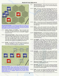

*Zone of Control Example: It is the beginning of Blue's turn. There is no combat un�l movement has been completed. Since the 28th Infantry starts within an enemy zone of control, that unit may not move and must ba�le during the ensuing combat phase.*

- 3.5.2.1 **Infantry, Airborne, and Artillery** These unit types must halt when entering an enemy ZOC. When beginning their turn within an enemy ZOC, they are considered "engaged" and my not move.
- 3.5.2.2 **Armor and Air-Assault** These unit types must only halt movement when entering the ZOC of an enemy armor or airassault unit. When beginning their turn within an enemy ZOC, these unit types may exit their current hex, but must stop upon entering another enemy armor or air-assault unit's ZOC (even if the ZOC hex belongs to the same unit to which they were adjacent at the beginning of the turn).
- 3.5.2.3 **Aircraft** Aircraft units are not affected by the presence of ZOC hexes (exception: air units on combat air patrol) and may move into and through them with impunity.



*Movement Example: The 13th Armor has moved through the 15th Infantry ZOC to reach a better attack position. The 17<sup>th</sup> LT Armor can move through enemy ZOC, but must top next to GD Armor, which is the first armor ZOC that it has entered this turn. The 28th Infantry cannot move as it is "engaged" against the GD Armor at the beginning of the turn.*

- 3.5.3 **Movement Bonuses** Use of roads and certain types of terrain may temporarily increase a unit's movement allowance when moving through them:
- 3.5.3.1 **Roads** All non-air units move three times faster than normal when moving along roads and through cities. For instance, a unit with a movement factor of four could move twelve hexes along roads. A unit may combine road and nonroad movement in a turn, with any remaining fractions being carried over non-road movement un�l road movement resumes or until only that fraction remains, which is not sufficient to enter a non-road hex and is therefore lost (excep tion: Desert Movement). Road bonus movement is only derived with moving from a road hex along a connected road segment. Entering a road hex from a non-road hex or an unconnected road segment costs one movement point and movement is subject to any other terrain in the hex.
- 3.5.3.2 Cities It costs all non-air units one movement point to enter a city, unless the city hex is entered from a connected road segment, in which case the city is assumed to be part of the same road.
- 3.5.3.3 **Desert** Armor and air-assault units move twice as fast through desert hexes. This bonus cannot be used if the moving unit is using a road movement bonus (a player must note if the unit is taking advantage of the double rate bonus for the desert terrain OR the triple rate bonus for road use).
- 3.5.3.4 **Strategic Movement** A unit that does not begin its turn adjacent to an enemy unit or an unfriendly city, does not move adjacent to an enemy unit or unfriendly city, and does not invade a beach hex, may add four movement points to their movement value. This bonus may be combined with other movement bonuses.
- 3.5.3.5 **Air Transport** Up to four units of any type except armor and artillery may be "flown" up to forty hexes from one friendly city to another friendly city each turn. The transported units must begin their turn in the city transported from, but may move from the destination city transported to normally. Reinforcements and Replacements may be transported in this fashion once initially placed in a friendly city. The destination city may not be within an enemy ZOC unless the destination city is occupied by a friendly unit. Terrain and/or enemy ZOC impose no penalties (see below) on air movement (which flies "over" such obstacles).
- 3.5.3.6 **Air Assault** Airborne, air-assault, and ranger units may be airdropped in any hex (with two exceptions) within twenty hexes of their take-off city, instead of being flown up to the full forty hexes. They may be dropped in a hex that is not adjacent to an enemy unit. Units using air assault may move one hex after landing unless dropped into mountain or forest hexes. Air-assault units may not be dropped into forest hexes. Air assault units may be intercepted in their destination hex by enemy fighters and attacked prior to the "landing" of the assaulting units.
- 3.5.4 **Movement Penal�es** Certain types of terrain may nega tively impact a unit's ability to move:
- 3.5.4.1 **Mountains** All units must stop upon entering a mountain hex. This means that a unit may only move into one mountain hex per turn, unless moving along a road. Units may exit a mountain hex without penalty.
- 3.5.4.2 **Forest** All units must stop upon entering a forest hex. Armor, air-assault, and artillery units may not enter forest hexes, but are free to attack units within forest hexes.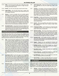- <span id="page-8-0"></span>3.5.4.3 **Water** – No units may enter water (sea or lake) hexes unless as part of sea movement and invasions or ranger units performing a lake-based invasion.
- 3.5.4.4 **Neutral** No units may enter gray, neutral country hexes.
- 3.5.4.5 **Supply Effects** Any unit that cannot trace a supply route when activated has its movement value halved and may not use strategic movement.
- 3.5.5 **Overrun** As soon as enough units are in position against defending units in a given hex to create odds of at least 7-1, or 5-1 if the surrounded units have no legal retreat possible, the defending units are ignored for the remainder of the turn, as if they were not present. Flip the units upside down as a reminder of this status. A�er all movement and combat are completed, remove the overrun units. All units adjacent to the vacated hex may immediately move four more hexes, with the first hex being the hex vacated by the eliminated enemy units. No road bonuses or strategic movement is allowed, and units must stop upon entering an enemy ZOC.
- 3.5.6 **Grounded Aircra�** If any ground units move adjacent to a city (airbase) hex that holds enemy aircraft units without any enemy ground units, the aircraft units are immediately eliminated as if they had never existed. This elimination does not affect the moving ground units in any way.

#### **3.6 Sea Movement and Invasions**

Surrounding the land portion of the map are five contiguous sea zones, each noted with a sea zone box marked A through E. During initial placement, each side may place up to ten units at sea, either in a single zone box or spread across multiple zone boxes. In any case, there may never be more than ten units per side at sea.

- 3.6.1 **Ports** Each city hex that is adjacent to a sea zone is marked with an anchor symbol, indicating that it is a port. Each hex in a multi-hex city that touches a sea zone is considered a port hex, even if only one hex is marked with an anchor symbol (1712 and 1713 are both port hexes), unless an "in-land" port hex. There are also four "in-land" ports (hexes 0534, 1318, 4906, and 6330) that act as ports in every way unless any river hexes between the port and the sea are within an enemy ZOC or occupied by an enemy unit. No port may be used as such if occupied by an enemy unit or if enemy ZOC hexes otherwise block access to the open sea (such as enemy units occupying 3633 and 3844, which puts ZOC hexes into 3634 and 3734, blocking 3733 from the sea). Only the hex nearest to the sea in an in-land port is considered a port hex.
- 3.6.2 **Movement to Sea** A unit may move to sea immediately upon entering a port hex at no additional cost, noting that the limit of ten units at sea is in effect at all times (if ten units are currently at sea, one must land before one can embark). Units may not land at ports, invade, or move to an adjacent sea zone on the turn in which they embarked. Reinforcements and replacements may be placed at sea on the turn in which they arrive.
- 3.6.3 **Movement at Sea** A unit at sea may move to an adjacent sea zone. A unit at sea may land at a friendly port or make an invasion in either their current sea zone or an adjacent sea zone. Landing at a port or on a beach costs one movement point from a unit's basic movement allowance. Units landing at a port may take advantage of road, desert, and/or strategic movement bonuses. Units landing on a beach may only use their base movement allowance. Units may not return to sea on the turn that they land.
- 3.6.4 **Enemy Units at Sea** Opposing units may be in the same sea zone indefinitely, but may not attack each other or be attacked.
- 3.6.5 **Invasions** An invasion is the act of moving combat units into beaches, the continuous chains of yellow coastal hexes. The entire coast of the Koufax Desert is one beach for invasion purposes. Only one beach may be invaded per turn. A beach that was invaded by the enemy during their previous turn cannot be re-invaded by friendly forces on the subsequent player's turn (the enemy's fleet is s�ll present off that coast). The invasion process is as follows:
- 3.6.5.1 **Prepara�on** Transfer units from one or more At Sea boxes to full sea hexes adjacent to beach hexes being assaulted. Stacking is enforced as all times. Enemy ZOC extending into full sea hexes does not prevent invading units from reaching desired assault hexes.
- 3.6.5.2 **Assault** Move the assaulting units directly onto unoccupied, adjacent beach hexes, even if doing so might violate ZOC restrictions.
- 3.6.5.3 **Unopposed Landing** A unit moving on to a beach hex that is not adjacent to an enemy unit must stop, even though it might not be within an enemy ZOC.
- 3.6.5.4 **Opposed Landing** Units that cannot land on a beach hex due to the presence of an enemy unit or that move into an enemy ZOC when advancing onto a beach hex must engage in combat normally. Since combat does not occur immediately upon landing, the active player has time to advance land-based forces to support an invasion, if possible.
- 3.6.5.5 **Swamped Units** Any invading unit that is unable to advance onto a beach hex prior to, or following combat resolu tion (due to enemy retreats or elimination) that still occupies a full sea hex is eliminated.
- 3.6.5.6 **Rangers** Rangers are units specialized for invasions and their use may break the rules outlined above in several ways:
	- **Mul�ple Invasions** Any number of ranger units may perform their own mini-invasions separately from the single invasion allowed by non-ranger units.
	- **Non-Beach Terrain** Rangers may invade any coastal hex, not just beach terrain.
	- **Enemy Follow-Up** A coastal hex invaded by a ranger unit may be invaded the following turn by enemy units.
	- **Sea Withdrawal** Ranger units may withdraw to a sea zone from any coastal hex not in an enemy ZOC.
	- **Lake Invasions** If ranger units begin their turn in a city adjacent to a lake, they may invade coastal hexes on that lake.

#### **3.7 Air Operations**

There are four types of aircraft combat units that can be used to support ground units in combat or attack hexes on the map through bombing in an effort to disrupt the enemy's ability to mount successful operations. The following rules section describes how to move these units, as they function differently from regular ground units.

3.7.1 **Airbases** – Airbases are represented by city hexes. There is no specific indication on the map of this fact (no icons), since all cities are airbases by default. Each airbase may hold up to three full units if aircraft, in addition to the three ground unit

**9**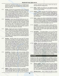<span id="page-9-0"></span>stacking limit. Substitute aircraft units are considered to be half of an aircraft unit for stacking purposes. When initially placed, aircraft units may be placed in any friendly city in their home country.

- 3.7.2 **Carriers** One full unit or its equivalent of TAC or FTR aircraft may be based at sea, in addition to the maximum ten ground units. For the purposes of combat actions, the "carrier" is located in any hex of the sea zone in which the aircraft is located. Its exact location is at the discretion of the owning player and the circumstances at hand. The carrier is assumed to be a floating airbase. When returning from a combat operation, aircraft may only return to a friendly airbase or the sea zone from which they departed.
- 3.7.3 **Movement** Aircraft take off from friendly bases (or carriers) and may move up to their movement value in hexes, ignoring any terrain or enemy ZOC hexes (which they're flying over). When their operation has been completed, aircraft are returned to any friendly base (even one that was just freed of enemy ZOC or occupation) within range of their movement value that is not occupied or within an enemy ZOC, subject to stacking limits. Any aircraft that cannot return to a base when required is eliminated.
- 3.7.4 **Staging** Staging is the process of shuttling aircraft from airbase to friendly airbase without engaging in combat opera tions. An aircraft unit may stage to any friendly airbase that is within a chain of friendly airbases (unoccupied by enemy units or ZOC) where no airbase is further than twice the moving aircra�'s movement value from the previous airbase in the chain. Air units may not perform any other operations when staging, and all staging must be completed before any combat is resolved.
- 3.7.5 **Bombing** Bombers initiate their move from any friendly airbase that is not within an enemy ZOC. Bombers may move their full movement rate to an enemy-controlled city hex or other enemy-occupied target hex, ignoring terrain, enemy ZOCs, and other enemy aircraft (except enemy air patrols). After bombing their target, bombers must move up to their movement rate to a friendly airbase that is not within an enemy ZOC. They need not return to the base from which they originally came. If a bomber unit cannot return to a friendly base owing to enemy ZOC or stacking limits, the bomber unit is eliminated. A bomber than moves less than half of its movement rate to a target (and subsequent return to an airbase) doubles its combat strength for bombing purposes.
- 3.7.6 **Interdiction** Interdiction is the process whereby tactical bombers (TAC) and fighters (FTR) are used to affect ground forces. Unlike positioning aircraft to bomb explicit enemy units or city hexes, aircraft used for interdiction are placed in open hexes, and project a ZOC into the surrounding hexes as if the aircraft units were armor units, provided that there are at least four modified strength points within the hex. Interdictors may initiate their movement from any friendly airbase that is not within an enemy ZOC. Interdictors may move their full movement rate to their destination hex, ignoring terrain, enemy ZOCs, and other non-patrolling enemy aircraft. At the end of the next enemy player's turn, interdictors must return to a friendly airbase that is not within an enemy ZOC. They need not return to the base from which they originally came. If the interdictor cannot return to a friendly base when required, the interdicting units are eliminated.
- 3.7.7 **Fighters** Fighter units can be used in a variety of ways. Fighters may only take off from friendly airbases that are not in an enemy ZOC. Fighters must return to friendly airbases that are not within and enemy ZOC and within stacking re-

strictions. Resolution of air combat is noted in the rules section describing the combat process.

- 3.7.7.1 **Escort** A fighter may move into a hex targeted by friendly bombers. The escorting aircraft must land after the bombing mission has been resolved.
- 3.7.7.2 **Hunters** A fighter may move into a hex that is adjacent to a hex targeted for bombing or a friendly airbase with the purpose of attacking enemy intercepting or strafing fighters. If the adjacent hex is attacked by enemy interceptors, the hunting fighters must land immediately following the resolution of the attack.
- 3.7.7.3 **Patrol** A fighter may move to any hex that is not adjacent to a friendly bombing mission to patrol that hex. Any enemy aircraft (including air transport and staging) unit that moves adjacent to a patrolling fighter must stop. Patrolling fighters must return to a friendly airbase that is not in an enemy ZOC at the conclusion of the enemy player's next turn.
- 3.7.7.4 **Interdic�on** As noted above, fighters may be used for interdiction in order to halt movement of ground units. However, if both ground units and air units are in an interdicting fighter's ZOC, the fighters must patrol against the enemy fighters before they can interdict against ground forces (see air combat, below).
- 3.7.7.5 **Interception** Intercepting fighters are the only combat units that may be moved during the enemy player's turn. Immediately following the movement of a bomber unit, an opposing fighter unit may be moved from a friendly airbase that is in supply and not within an enemy ZOC at the beginning of the opposing player's movement up to its movement rate in hexes (including moving zero hexes to intercept units attacking its own hex), but no more than the maximum number of hexes moved by a bombing unit in order to enter a bombing unit's hex. Intercepting units must stop upon entering a hex adjacent to patrolling enemy aircraft.
- 3.7.7.6 **Strafing** Aircraft units assigned to hunt, patrol and interception missions may strafe enemy airbases that hold aircraft that were not or could not be used for air combat missions. After all bomber movement has been completed, any fighters not used to intercept bombing missions may be moved adjacent to enemy airbases for the purpose of strafing. After resolving a strafing attack, the intercepting or hunting air unit must return to a friendly airbase that is not in and enemy ZOC, subject to stacking limits. If intercepting air units are adjacent to hunting air units after completing a strafing attack, that intercepting units are subject to attack by the hunting units prior to returning to an air base.

#### **3.8 Combat**

Combat occurs after all movement has been completed. Combat is resolved in any order desired by the moving player, noting that some combat actions may trigger interception combat from enemy fighters. There are three types of combat: Attrition (ground) Combat, Bombing and Barrage, and Air Combat. Each is described in detail below.

- 3.8.1 **Attrition Combat** Attrition combat takes place between ground combat units, possibly with the support of artillery and air units. During the combat phase, all enemy units that occupy friendly ZOCs must be attacked, regardless of the calculated odds. An attacking unit may only attack once per turn, and a defending unit may only be attacked once per turn. The process of resolving ground combat is as follows:
- 3.8.1.1 **Attacking Factors** When multiple units attack an enemy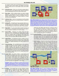#### **BLITZKRIEG DELUXE**

hex, add the combat values of all attacking units into one total combat value. Armor, infantry, and artillery units attack adjacent enemy units. Air units attack enemy units within their hex.

- 3.8.1.2 **Defending Factors** When one unit attacks multiple defending units in one or more adjacent hexes, add the combat values of all defending units into one total combat value.
- 3.8.1.3 Mass Attack When multiple attackers can attack multiple defenders, the attacking units may be divided up to attack different adjacent hexes, so long as all adjacent hexes are attacked. Each defending hex is always treated as a whole and may not be divided up.
- 3.8.1.4 **Individual Units** Under no circumstances may the combat value of an individual unit be divided between multiple defending hexes.
- 3.8.1.5 **Soaking-Off** An attacking unit may purposely attack at unfavorable odds in order to allow other friendly units to attack at better odds. This is referred to as "soaking-off." The odds of a soak-off attack can never be less than 1-6 (see below).
- 3.8.1.6 **Illegal Attack** If a unit cannot attack at odds of at least 1-6 (see below), it is eliminated and removed from the map before any combat is resolved, as if it never existed.
- 3.8.1.7 **Terrain Effects** Attacking unit combat values are never affected by terrain. Defending unit combat values are doubled when in city or mountain hexes. Defending unit combat values are doubled when all attacking units occupy river hexes (noting that just a single attacking unit that does not occupy a river hex would nullify this defensive bonus).
- 3.8.1.8 **Supply Effects** An attacking unit that is unable to trace a supply route at the moment of combat has its combat value halved (rounded up) and may not advance after combat (see below). Non-supplied defending units always defend at full strength.
- 3.8.1.9 **Tac�cal Bombing** TAC and MDM bomber units stacked on a target hex add their combat strengths to the attack. The *modified* strength of the air units may not exceed the strength of ground units attacking the target hex. If the *printed* strength of the bombing units at least equals that of the defending units in the hex, a river defense bonus is nullified. At least half (a minimum of one) of any losses sustained by the attacker must be taken from the supporting bombers due to anti-aircraft fire.
- 3.8.1.10 **Combat Ratio** To resolve combat, a ratio between the attacking and defending units must be determined. To do this, divide the smaller combat factor both into itself, and into the larger combat factor. The resulting two numbers (one of which is "1") are expressed as a strength ratio, placing the number which represents the attacker first in the ratio. Fractions of any size are rounded up or down to a whole number favorable to the defender in each attack.

**Examples**: Attacker 14, defender 8. dividing both by 8 gives *a�acker 1 6/8, defender 1. Since 1 6/8 is converted in favor of the defender this becomes 1:1. 8 to 14 becomes 1:2; 14 to 6 becomes 2:1; 4 to 14 becomes 1:4; 4 to 18 becomes 1:5. etc.*

 $3.8.1.11$  Straining  $-$  If the attacker does not have sufficient combat strength points to achieve the next highest odds ratio, the attacker has the option to strain. When straining, the attacker may add up to five additional strength points to



*Mass A�ack Example: Blue's a�acks against Red's 19th, 20th, and 21st Infantry must be two separate a�acks, since 1st and 2nd Infantry aren't adjacent to the 21st. Thus, Blue's 5th must a�ack the 21st and Blue's 1st and 2nd must a�ack the 19th and 20th. The 19th and 20th may not be a�acked separately, but must be a�acked as a combined unit. Only the 13th Infantry and 4th Armor have a choice of how to a�ack. Blue* has opted to divide the stack of armor units to attack different hexes.

achieve the next highest odds ratio (to a maximum ratio of 6-1). Following the resolution of combat, the attacker must roll a die. If the roll is less than or equal to the number of strength points added to the attack, the attacker suffers an additional number of losses equal to one-half the number of losses sustained in the attack (rounding up).

- 3.8.1.12 **Combat Resolution** To resolve the attack, cross-reference the roll of a die with the column matching the odds ratio on the Attrition table. The A row indicates the results affecting the attacker, while the D row indicates the results affecting the defender. The combat results found within the Factors Lost (L), Retreat (R), and Advance (A) columns are as follows:
	- **Factors Lost (L)** The loser has the choice of which units lose factors. Substitute units are used to replace units that are partially eliminated. Example: under 4-1 with a die roll of 5, the defender must lose 3 factors. Thus, a 6-factor unit is removed and replaced by units whose combat factors total 3. Artillery units always lose factors based upon their defensive value (regardless of whether a unit is attacking or defending). Each partially eliminated unit must be replaced by its own type; armor for armor, infantry for infantry, etc. Also in this example, the attacker must eliminate 1 factor in the



*River Effects Example: Blue's 1st and 2nd Marines a�ack Red's 1st Infantry at basic odds, even though the 2nd Marines are in a river, because the 1st Marines are not in the river. Red's 2nd Infantry is doubled because Blue's 3rd Marines are in a river hex.*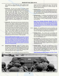same manner. In cases where the table specifies losses greater than units engaged, only the units engaged are eliminated.

•

- **Retreat (R)** The loser must retreat all surviving combat units the full number of hexes specified. Example: in the 4-1, 5 die-roll situation, the defender retreats all surviving units 3 hexes. The loser may retreat his units in any direction through friendly units, across rivers, through mountains, forests, cities, and the desert. Retreats along roads and through forests is done as if they were clear terrain hexes. Units cannot retreat through enemy zones of control, off the board, into the sea or lake, into the neutral country or placed on friendly units that would result in stacks exceeding the 12-factor maximum. Thus, retreating units are eliminated, instead, if they only available retreat route is through these areas.
- **Advance (A)** After losing units have been retreated, the opponent has the option to advance all remaining victorious units up to the number of hexes specified. In the above 4-1 example, the attacker has his choice of moving some or all of his surviving Units 0, 1, or 2 hexes. Units may advance in any direction according to the following restrictions: (a) the first hex of advance must be the loser's vacated hex and (b) advancing units must stop as soon as they enter an enemy ZOC hex. Units that advance adjacent to enemy units whose battles have not been resolved cannot participate in such battles ... however, their presence does serve to cut off retreat routes. In the event retreating units must be eliminated, because retreat routes are blocked, the winner may advance his units the full number of hexes specified.

**Ground Combat Resolution Example**: Great Blue's First and **Second Marine divisions are attacking Big Red's First Infantry** *Division at a ra�o of 12 to 4, reduced to 3 to 1. Blue rolls a 3 on the die, resul�ng in two losses to the defender, so Red replaces the First Infantry unit with a 2-factor supplemental infantry unit. The die result also requires that Red retreat two hexes, while Blue may advance one hex (which must be into the hex just vacated by Red).*

- 3.8.2 **Bombardment and Barrage** Rather than engage in direct, attrition combat, some units (bomber aircraft and artillery) may attack the enemy indirectly through bombardment and barrage. These attacks all use the bombardment and barrage table, and apply the results of the attack somewhat differently based upon the type of target attacked.
- 3.8.2.1 **Enemy Forces** SAC and MDM units that are moved into an

enemy occupied hex may bomb those units. These bombing attacks may not be combined with artillery units (see below), and must be resolved prior to artillery barrages. Not subject to night bombing.

- **Bombing Process** The combat values of any bombing units moved into the enemy hex are summed, with the total crossreferenced against a die roll on the bombing and barrage table. The resulting number indicates the total combat factors lost by the defending units.
- **Bombing Results** The defender uses supplemental units to note the reduction in strength. Only ground units are affected (air units are assumed to have taken off in advance of the bombers arriving). Strategic bombing is immune to anti-aircraft fire.

*Enemy Forces Bombing Resolution Example: Big Red is bombing a stack of Great Blue's units with eighteen factors of bombers. Red rolls a 3 on the die, resul�ng in three losses to the defending units. If the defenders were occupying mountain or a city hex, this result would be halved (rounded up) to two losses.*

- 3.8.2.2 **Airbases** TAC and MDM bombers may be moved into a city hex in order to attack enemy air units on the ground in that hex. The bombing units are subject to simultaneous anti-aircraft fire. Not subject to night bombing (see below).
	- **Bombing Process** The combat values of bombing units moved into the enemy hex are summed, with the total crossreferenced against a die roll on the bombing and barrage table. The resulting number indicates the total combat factors lost by the defending air units.
	- **Anti-Aircraft Fire** The airbase returns fire on the air combat table using a number of factors equal to half the combat factors of the grounded air units in the target hex, rounded up. Roll a die and cross-reference the roll with the number of attacking anti-aircraft factors to determine the number of bombing factors lost.
	- **Bombing Results** Both sides use supplemental units to note the reduction in strength. Invert the surviving defending air units to indicate that they cannot be used for combat missions during the following player turn (but may use staging). The airbase itself is unaffected by these attacks and may be used to land air units as required.

*Airbase Bombing Resolu�on Example: Great Blue is bomb-*

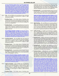*ing one of Big Red's airbases that is currently stacked with ten factors of grounded air units. Blue is bombing with twelve factors and rolls a 1 on the die, resul�ng in a loss of seven of Red's factors. Red fires back with an�-aircra� fire equal to half of the grounded air units in the hex, or five. Red* rolls a die and also gets a 1 for a loss of three of Blue's attacking air factors. Since these attacks are simultaneous, the results of the attacks are not applied until both sides have fired. After results are applied, Red units are flipped to indi*cate that they cannot be used during Red's next turn.*

- 3.8.2.3 **Ports** SAC and MDM units may bomb port hexes. Bombing units are not subject to anti-aircraft fire. Subject to night bombing (see below).
	- **Bombing Process** The combat values of bombing units moved into the port hex are summed and the total cross-referenced with a die roll on the bombing and barrage table. Any numeric result (regardless of the amount), damages the port for one complete turn.
	- **Bombing Results** A successfully bombed port may not be used for movement to or from adjacent sea zones or for sea supply. Place a reduction marker in the port symbol's hex (adjacent to the port city hex) until the end of the bombing player's next turn.

**Port Bombing Resolution Example**: Big Red has sent a *medium (MDM) bomber unit with one combat factor to bomb one of Great Blue's ports. Red rolls a 1 on a die, re*sulting in a single point of damage on the barrage and *bombing table. This is sufficient to disrupt the use of the port for a full turn. Blue places a reduc�on marker in an open sea hex adjacent to the port hex to indicate this status.*

- 3.8.2.4 **City-Road Network** SAC and MDM units may bomb the road-network in a city hex to deny the city from providing a road bonus or acting as a link in a supply chain. Bombing units are not subject to anti-aircraft fire. Subject to night bombing (see below).
	- **Bombing Process** The combat values of bombing units moved into the city hex are summed and the total cross-referenced with a die roll on the bombing and barrage table. Any numeric result (regardless of the amount), damages the city's road network for one complete turn.
	- **Bombing Results** A successfully bombed city hex may not be used for road movement bonuses or as a link in a supply chain. Place a reduction marker in the city hex until the end of the bombing player's next turn.

*City-Road Network Bombing Resolu�on Example: Great Blue has sent a strategic (SAC) bomber unit with one combat factor to bomb one of Big Red's city hexes in order to disrupt its road network, thus shortening a supply line. Blue rolls a 1 on a die, resul�ng in a single point of damage on the barrage and bombing table. This is sufficient to disrupt the use of the* road network for a full turn. Red places a reduction marker in *the city hex to indicate this status.*

- 3.8.2.5 **Supply and Industry** SAC and MDM units may bomb the supply and industrial capacity of a city hex so that the city hex may not be used for supply or critical resources. Note that all hexes of a multi-hex city must be successfully bombed in order to deny this capacity. Bombing units are not subject to anti-aircraft fire. Subject to night bombing (see below).
	- **Bombing Process** The combat values of bombing units

moved into a city hex are summed and the total cross-referenced with a die roll on the bombing and barrage table. The total attacking factors are halved if the bombers are intercepted without escort. Any numeric result (regardless of the amount), damages the city hex for one complete turn.

**• Bombing Results** – A successfully bombed resource may not be used. Place a reduction marker in the hex adjacent to the critical resource icon until the end of the bombing player's next turn if all hexes in the city are successfully bombed.

*Supply and Industry Bombing Resolu�on Example: Big Red has sent a medium (MDM) bomber unit with one combat factor to bomb one of Great Blue's industrial centers. Red* rolls a 1 on a die, resulting in a single point of damage on the *barrage and bombing table. This is sufficient to disrupt the* use of the port for a full turn. Blue places a reduction marker *in a hex adjacent to the industry hex to indicate this status.*

- 3.8.2.6 **Night Bombing** SAC and MDM units may opt to attack at night. Units that do so are not subject to enemy fighter interception, but the attack is resolved with a three column shift to the left on the bombing and barrage table. Additionally, prior to resolving a night attack, the attacking units are subject to a die roll on the 13-16 column on the air combat table to account for operational hazards due to flying at night.
- 3.8.2.7 **Artillery Barrage** An artillery unit represents an independent mass of artillery whose intent is to reduce defending forces. Artillery units may attack an enemy hex that is two hexes distant through bombardment. Artillery units that are adjacent to enemy units must attack the enemy using the attrition combat process.
	- **Barrage Process** Artillery units that are not adjacent to the enemy may use the bombing and barrage table by adding up the total combat values of barraging artillery on a single hex and cross referencing that total on the barrage and bombardment table with a die roll. The resulting number is the number of defending factors lost. If the defenders are in a city or mountain hex, the number result is halved (round up).
	- **Barrage Results** The defender uses supplemental units to note the reduction in strength. Unless the barrage was preceded by strategic bombing, any grounded air units must absorb all losses before ground units are reduced. Otherwise, the defender may reduce units as desired.
	- **Combined Attack** A defending unit may only be attacked once per turn through barrage, but may be attacked again through attrition (ground combat). When combining a barrage with an attrition attack, both attacks must be resolved sequentially. Any advancement results are limited to one hex, regardless of the outcome of the attrition attack (the attacker may only advance into the defender's vacated hex).

**Artillery Barrage Combination Attack Example**: Great Blue *is attacking one of Big Red's cities. Red is defending with five factors of infantry units and a two-factor fighter unit parked* at an airbase within the city. Blue is attacking with ten fac*tors of armor units, six factors of infantry units, and four defensive factors of ar�llery units (adjacent to the city) for a total of twenty. Blue also has eight factors of ar�llery units two* hexes away from the city. The artillery factors that are adja*cent to the city must a�ack as part of the ground assault, and in so doing, must use their defensive factors. The non*adjacent artillery must complete a barrage attack before the *ground assault takes place. Blue rolls a 3 on the barrage and bombing table, resul�ng in Red losing two factors before the ground assault happens. Since Red is defending in a city,*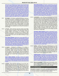<span id="page-13-0"></span>*these losses are halved to one. This loss must come from the air units, so Red is le� with five infantry factors and a single* air factor. The attrition attack ratio is twenty to six, but since *Red is defending in a city, the defending factors are doubled, so the a�ack is twenty to twelve or one to one. In order to increase the odds to two to one, Blue would have to strain for four points, and opts to do so. Blue rolls a die to resolve the a�ri�on a�ack and rolls a 2. Each side loses one factor, but Red must also retreat one hex. As Red's remaining air factor cannot retreat, and enemy units are adjacent to its hex, it is immediately eliminated. Blue resolves his straining result and rolls a 5. Since this is greater than the number of strain*ing points added to the attack, there is no additional result.

- 3.8.3 **Air Combat** Air combat is performed between enemy aircraft units. Air combat is initiated by intercepting or hunting FTR units. This process is simultaneously resolved on the air combat table with combat strengths possibly modified by the type of mission defense attacked. In each case, cross-reference the (modified) total combat strength of the firing units with a die roll on the air combat table. The resulting number indicates that number of combat factors lost by the opposing side. Use substitute units to show the reduction in unit strength.
- 3.8.3.1 **vs Escorts** When entering a hex that contains escort fighters, the bombers and escorts defend with half of their total combat strength, rounded up. The interceptors attack at double strength if the bombers are escorted, or triple strength if unescorted. Air transport has no defense other than escorting fighters. Any hits sustained by the defender must be taken from escort units before bombing or transporting units.

**Escort Attack Example**: Big Red has moved eight factors of *intercepting fighters to attack ten incoming factors of Great Blue bombers protected by two factors of escor�ng fighters. The interceptors are doubled to sixteen factors (which would have been twenty-four factors had the escorts not been present). Red rolls a 3 on the air combat table, eliminating three factors. This eliminates the two escort fighters and one factor of bombers. Blue halves his factors to six and rolls a 3, eliminating one factor of intercepting fighters.* 

3.8.3.2 vs Hunters - Following the resolution of air combat or strafing in a target hex between interceptors and bombers, air transport, and/or escorts, hunter units in an adjacent hex immediately attack surviving interceptor aircraft. The hunters attack at full strength, and may not be attacked by the interceptors. If the interceptors attack the hunters directly (rather than attacking a bomber or air transport unit), both sides fire at each other simultaneously at normal strength.

> **Hunter Attack Example**: Carrying on from the example *above, Great Blue has placed six factors of hunters adjacent* to the hex that Big Red's interceptors just attacked. Blue rolls *a 2 on the air combat table and eliminates two more factors of interceptors. The interceptors may not return fire on the hunters.*

3.8.3.3 **vs Patrols** – Upon entering a patrolling air unit's ZOC, intercepting units must stop. The intercepting units are not required to attack the patrolling units, but if they opt to do so, each side attacks at normal strength. After applying combat results, the smaller force must withdraw to a friendly base. The larger force must withdraw the same number of factors to a friendly base as well. Remaining patrol factors may remain on patrol. Remaining intercepting units may continue to move.

**Patrol Attack Example**: Great Blue is attempting to intercept *incoming Big Red bombers with ten factors of interceptors, but Red has previously placed six factors of Patrol aircra� between the Blue airbases and the target city. The interceptor aircra� must stop when moving adjacent to the Red patrol aircra� and decides to a�ack. Blue rolls a 3 and eliminates two factors of Red's patrol. Red rolls a 1 and eliminates three factors of interceptors. This leaves Red with four patrol aircra� to eight Blue interceptors. Since Red is the smaller force, it must withdraw to friendly airbases, while four of the Blue interceptors must do the same. This leaves four Blue interceptors to con�nue against the Red bombers.*

3.8.3.4 vs Interdiction – Upon entering an interdicting air unit's ZOC, intercepting units must stop. The intercepting units are not required to attack the interdicting units, but if they opt to do so, FTR units (from either side) attacks at normal strength, while TAC units fire at half strength, rounded up. After applying combat results, the smaller force must withdraw to a friendly base. The larger force must withdraw the same number of factors to a friendly base as well. Remaining intercepting units may continue to move. Remaining interdicting factors may attack adjacent ground units within their ZOC at double strength on the air combat table. Ground units attacked through interdiction return fire upon the interdicting units with anti-aircraft fire at half strength (rounded up) on the air combat table.

> **Interdiction Attack Example**: Big Red is attempting to inter*cept a group of Great Blue's fighters (six factors) and tac�cal* bombers (four factors) that are interdicting against Red's ad*jacent ground forces. Red is intercep�ng with twelve factors. Red rolls a 1, eliminating three of Blue's aircraft factors.* Blue's tactical bombers are halved, for a total of eight fac*tors, and rolls a 6, which has no effect. Since Blue now has seven factors to Red's twelve, Blue must withdraw back to an airbase and Red must also withdraw seven factors back to* base. The remaining interceptors may continue to move. If *the losses were reversed and the interdictors had factors re*maining, these factors could attack the ground units at double strength, while receiving half-strength return anti-air*cra� fire on the air combat table.*

3.8.3.5 **Strafing** – Strafing is the process of attacking enemy aircraft units on the ground. Intercepting and hunting units may strafe enemy airbases that contain aircraft units if they did not perform any other kinds of attacks during the current turn. Intercepting units attack at normal strength, while hunters attack at double strength. The grounded air units return fire as anti-aircraft fire at half-strength (rounding up). Strafers return to base following these attacks.

> *Strafing Example: Great Blue has moved ten factors of interceptors adjacent to six factors of grounded aircra� in one of Big Red's airbases. Blue rolls a 4 on the air combat table,* which has not affect. Had Blue's aircraft been hunters, the *factor total would be twenty and the result would have eliminated two of Red's aircra� factors. Red's factors are halved, and a 2 is rolled, which eliminates one of Blue's factors.*

3.8.3.6 **Overrun Cancellation** – If the result of interception eliminates sufficient enemy air factors involved in an overrun to cancel it, flip the overrun enemy units back to their front sides and complete the attrition combat normally.

#### **3.9 Turn End Activities**

Following the completion of all combat, each player performs a series of end-of-turn activities as needed, particularly in determining if victory has been achieved. Complete these steps as follows: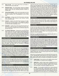- <span id="page-14-0"></span>3.9.1 **Ready Aircra�** – The current player flips any friendly inverted aircraft to their ready side.
- 3.9.2 **Reduc�on Status** The current player removes any flipped reduction markers on any friendly cities. After removing the flipped markers, flip any remaining reduction markers on friendly cities.
- 3.9.3 **Victory Determina�on** At the end of each player turn (not the full turn itself), each player may check to see if victory has been achieved. This is accomplished in one of three ways:
- $3.9.3.1$  **Annihilation** A player wins if all of the enemy's units have been eliminated, while having at least fourteen friendly units remaining in play.
- 3.9.3.2 **Conquest** A player wins if their forces occupy or are adjacent to all of the city hexes in the opponent's country through two consecutive player turns (ex: Red completing a turn and then Blue completing a turn).
- 3.9.3.3 **Exhaus�on** A player wins at the end of the last full turn if thirty-five or more city hexes are friendly. Any other situa tion is considered a marginal victory to whichever player has lost the most units.
- 3.9.4 **Turn Marker Adjustment** Following the end of the second player's game turn, the second player checks for game-end. If the current turn includes a game-end die roll indicator (turns fifteen through twenty), the second player rolls a die. If the result is equal to or less than the game-end die roll indicator, the game ends immediately. Otherwise, the turn marker is advanced to the next space on the turn track.

#### **4.0 Minor Countries**

Apart from the two major countries on the map that represent home territory to the two players, there are five minor countries between them. These countries begin the game neutral to the struggles between the players, and react when this neutrality is challenged through invasion by either player.

#### **4.1 Minor Country Control**

The first player to cross the border *for any reason* (including retreating) or attack into a minor country becomes an aggressor against that country, while the other player becomes allied to that minor country as a liberator. All cities within an invaded minor country are friendly to the liberator, as long as they are not within the ZOC of an aggressor's unit. At the end of the player-turn in which a minor country is invaded, place the liberator's control markers in each city that has not been reduced by the aggressor to indicate the alliance.

#### **4.2 Control Effects**

A liberator may move through friendly cities at any time and may base aircraft units there. The liberator may also stack ground units normally in unreduced (see below) minor country cities. If attacked, the aggressor must attack both the unreduced city and any liberating ground units within it.

#### **4.3 Minor City Reduction**

Minor country cities each begin with their own ZOC as if an infantry unit were stacked within the city. All aggressor units other than armor and air-assault must stop if they move adjacent, and all aggressor units must attack if they end their movement adjacent to a minor country city hex. The aggressor may not enter minor country ci�es until they have been reduced on the minor city reduction table. To reduce a city, the aggressor adds all attacking factors including supporting MDM or TAC aircraft units and cross-references this total with a die roll on the minor city reduction table. No more aircraft factors may be used than ground unit factors involved in the attack. The resulting number indicates that number of factors lost by the aggressor. If the result is also marked with an asterisk, the minor city is reduced. Otherwise, the aggressor units must retreat two hexes. An aggressor may not enter a reduced city if enemy (liberator) units occupy it. These units may be attacked in lieu of reducing the city or at the simultaneously with a reduction attempt but by different attacking units. Remove the control marker from reduced cities.

#### **4.4 Garrisons**

To keep a captured minor city friendly, it must be continually garrisoned by at least one ground unit. This applies to both players following the reduction of a minor city. After a city has been reduced, it may be entered normally.

#### **4.5 Guerrillas**

At the end of any player turn where an aggressor occupies a minor country, but does not garrison every city within that country, that player must eliminate two factors from the forces within the country due to guerrilla actions. If the aggressor as simply moved through or flown over the minor country, losses must be removed from those units that violated its territory.

Note that if an aggressor loses control of a single city, even after reducing all of them, guerrilla attacks resume.

#### **4.6 Supply Effects**

Combat supply may not be traced freely through or over a minor country that is currently neutral. An aggressor may not trace supply lines through a minor country unless all of the cities within that country are garrisoned at the beginning of the turn that supply is traced or two combat factors are eliminated from friendly units within that country. Note that these losses are exclusive of and in addition to any effects of guerillas. A player may avoid this loss by simply not tracing supply through or over a neutral country.

#### **5.0 Optional Extended Play**

The following rules are provided to add variety and additional challenges to game play. They may only be used if both players agree to use them in advance of play.

Rather than use the game-end die roll to determine when play ends, use the "extended play" boxes below the turn track to complete one years' worth of play. Players may opt to continue play into a second year, lengthening the game according to the guidelines noted below:

- 5.1.1 **Sudden Death** Play continues until a player achieves either the annihilation or conquest victory conditions.
- 5.1.2 **Added Time** Specify a fixed number of additional turns to play. This can be with or without the random game-end mechanic. If used with this mechanic, specify a turn on which the second player should start rolling for game-end.
- 5.1.3 **Weather** The only game mechanic that is directly affected by using extended play is determining weather. Note that the weather chart includes columns for each two-week period beyond the first seven turns. When starting a new year, the weather for the first seven turns is automatically "clear."